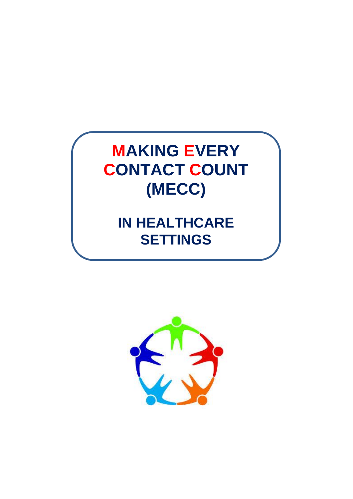

# **IN HEALTHCARE SETTINGS**

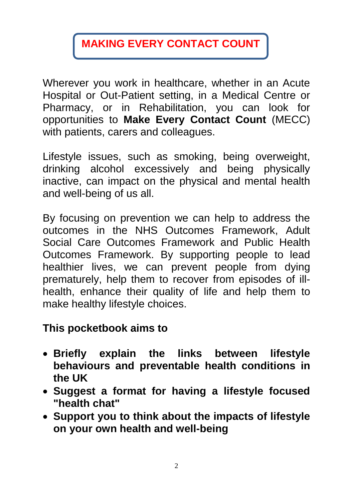# **MAKING EVERY CONTACT COUNT**

Wherever you work in healthcare, whether in an Acute Hospital or Out-Patient setting, in a Medical Centre or Pharmacy, or in Rehabilitation, you can look for opportunities to **Make Every Contact Count** (MECC) with patients, carers and colleagues.

Lifestyle issues, such as smoking, being overweight, drinking alcohol excessively and being physically inactive, can impact on the physical and mental health and well-being of us all.

By focusing on prevention we can help to address the outcomes in the NHS Outcomes Framework, Adult Social Care Outcomes Framework and Public Health Outcomes Framework. By supporting people to lead healthier lives, we can prevent people from dying prematurely, help them to recover from episodes of illhealth, enhance their quality of life and help them to make healthy lifestyle choices.

### **This pocketbook aims to**

- **Briefly explain the links between lifestyle behaviours and preventable health conditions in the UK**
- **Suggest a format for having a lifestyle focused "health chat"**
- **Support you to think about the impacts of lifestyle on your own health and well-being**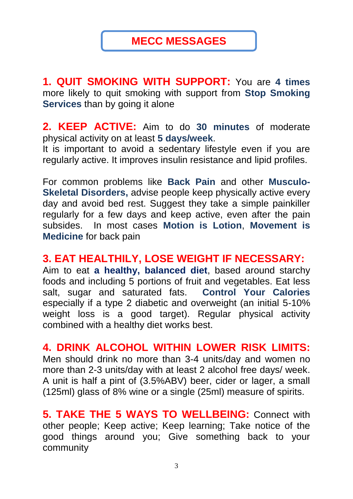### **MECC MESSAGES**

**1. QUIT SMOKING WITH SUPPORT:** You are **4 times** more likely to quit smoking with support from **Stop Smoking Services** than by going it alone

**2. KEEP ACTIVE:** Aim to do **30 minutes** of moderate physical activity on at least **5 days/week**.

It is important to avoid a sedentary lifestyle even if you are regularly active. It improves insulin resistance and lipid profiles.

For common problems like **Back Pain** and other **Musculo-Skeletal Disorders,** advise people keep physically active every day and avoid bed rest. Suggest they take a simple painkiller regularly for a few days and keep active, even after the pain subsides. In most cases **Motion is Lotion**, **Movement is Medicine** for back pain

#### **3. EAT HEALTHILY, LOSE WEIGHT IF NECESSARY:**

Aim to eat **a healthy, balanced diet**, based around starchy foods and including 5 portions of fruit and vegetables. Eat less salt, sugar and saturated fats. **Control Your Calories** especially if a type 2 diabetic and overweight (an initial 5-10% weight loss is a good target). Regular physical activity combined with a healthy diet works best.

**4. DRINK ALCOHOL WITHIN LOWER RISK LIMITS:** Men should drink no more than 3-4 units/day and women no more than 2-3 units/day with at least 2 alcohol free days/ week. A unit is half a pint of (3.5%ABV) beer, cider or lager, a small (125ml) glass of 8% wine or a single (25ml) measure of spirits.

**5. TAKE THE 5 WAYS TO WELLBEING:** Connect with other people; Keep active; Keep learning; Take notice of the good things around you; Give something back to your community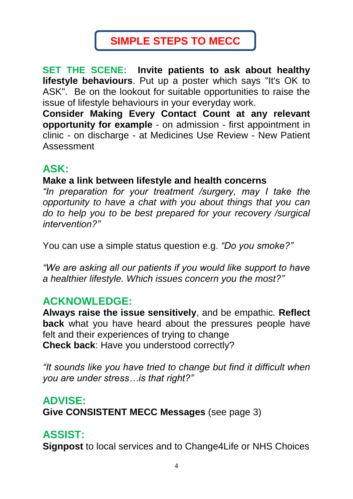# **SIMPLE STEPS TO MECC**

**SET THE SCENE: Invite patients to ask about healthy lifestyle behaviours**. Put up a poster which says "It's OK to ASK". Be on the lookout for suitable opportunities to raise the issue of lifestyle behaviours in your everyday work.

**Consider Making Every Contact Count at any relevant opportunity for example** - on admission - first appointment in clinic - on discharge - at Medicines Use Review - New Patient Assessment

### **ASK:**

#### **Make a link between lifestyle and health concerns**

*"In preparation for your treatment /surgery, may I take the opportunity to have a chat with you about things that you can do to help you to be best prepared for your recovery /surgical intervention?"*

You can use a simple status question e.g. *"Do you smoke?"*

*"We are asking all our patients if you would like support to have a healthier lifestyle. Which issues concern you the most?"*

### **ACKNOWLEDGE:**

**Always raise the issue sensitively**, and be empathic*.* **Reflect back** what you have heard about the pressures people have felt and their experiences of trying to change **Check back**: Have you understood correctly?

*"It sounds like you have tried to change but find it difficult when you are under stress…is that right?"*

### **ADVISE:**

**Give CONSISTENT MECC Messages** (see page 3)

## **ASSIST:**

**Signpost** to local services and to Change4Life or NHS Choices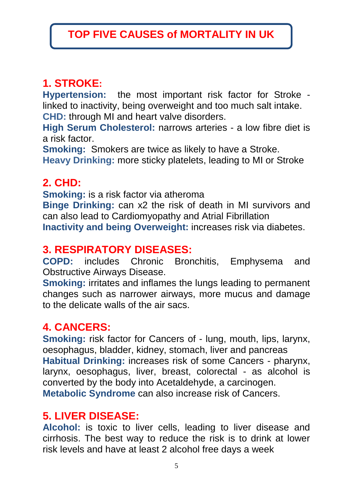# **1. STROKE:**

**Hypertension:** the most important risk factor for Stroke linked to inactivity, being overweight and too much salt intake. **CHD:** through MI and heart valve disorders.

**High Serum Cholesterol:** narrows arteries - a low fibre diet is a risk factor.

**Smoking:** Smokers are twice as likely to have a Stroke. **Heavy Drinking:** more sticky platelets, leading to MI or Stroke

### **2. CHD:**

**Smoking:** is a risk factor via atheroma

**Binge Drinking:** can x2 the risk of death in MI survivors and can also lead to Cardiomyopathy and Atrial Fibrillation

**Inactivity and being Overweight:** increases risk via diabetes.

### **3. RESPIRATORY DISEASES:**

**COPD:** includes Chronic Bronchitis, Emphysema and Obstructive Airways Disease.

**Smoking:** irritates and inflames the lungs leading to permanent changes such as narrower airways, more mucus and damage to the delicate walls of the air sacs.

## **4. CANCERS:**

**Smoking:** risk factor for Cancers of - lung, mouth, lips, larynx, oesophagus, bladder, kidney, stomach, liver and pancreas **Habitual Drinking:** increases risk of some Cancers - pharynx, larynx, oesophagus, liver, breast, colorectal - as alcohol is converted by the body into Acetaldehyde, a carcinogen. **Metabolic Syndrome** can also increase risk of Cancers.

### **5. LIVER DISEASE:**

**Alcohol:** is toxic to liver cells, leading to liver disease and cirrhosis. The best way to reduce the risk is to drink at lower risk levels and have at least 2 alcohol free days a week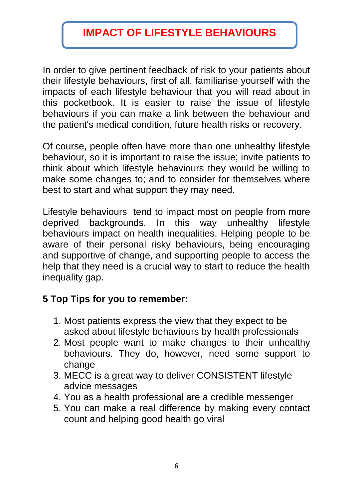# **IMPACT OF LIFESTYLE BEHAVIOURS**

In order to give pertinent feedback of risk to your patients about their lifestyle behaviours, first of all, familiarise yourself with the impacts of each lifestyle behaviour that you will read about in this pocketbook. It is easier to raise the issue of lifestyle behaviours if you can make a link between the behaviour and the patient's medical condition, future health risks or recovery.

Of course, people often have more than one unhealthy lifestyle behaviour, so it is important to raise the issue; invite patients to think about which lifestyle behaviours they would be willing to make some changes to; and to consider for themselves where best to start and what support they may need.

Lifestyle behaviours tend to impact most on people from more deprived backgrounds. In this way unhealthy lifestyle behaviours impact on health inequalities. Helping people to be aware of their personal risky behaviours, being encouraging and supportive of change, and supporting people to access the help that they need is a crucial way to start to reduce the health inequality gap.

#### **5 Top Tips for you to remember:**

- 1. Most patients express the view that they expect to be asked about lifestyle behaviours by health professionals
- 2. Most people want to make changes to their unhealthy behaviours. They do, however, need some support to change
- 3. MECC is a great way to deliver CONSISTENT lifestyle advice messages
- 4. You as a health professional are a credible messenger
- 5. You can make a real difference by making every contact count and helping good health go viral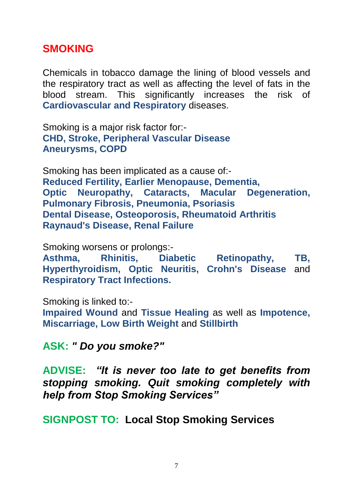#### **SMOKING**

Chemicals in tobacco damage the lining of blood vessels and the respiratory tract as well as affecting the level of fats in the blood stream. This significantly increases the risk of **Cardiovascular and Respiratory** diseases.

Smoking is a major risk factor for:- **CHD, Stroke, Peripheral Vascular Disease Aneurysms, COPD**

Smoking has been implicated as a cause of:- **Reduced Fertility, Earlier Menopause, Dementia, Optic Neuropathy, Cataracts, Macular Degeneration, Pulmonary Fibrosis, Pneumonia, Psoriasis Dental Disease, Osteoporosis, Rheumatoid Arthritis Raynaud's Disease, Renal Failure**

Smoking worsens or prolongs:-

**Asthma, Rhinitis, Diabetic Retinopathy, TB, Hyperthyroidism, Optic Neuritis, Crohn's Disease** and **Respiratory Tract Infections.**

Smoking is linked to:-

**Impaired Wound** and **Tissue Healing** as well as **Impotence, Miscarriage, Low Birth Weight** and **Stillbirth**

**ASK:** *" Do you smoke?"*

**ADVISE:** *"It is never too late to get benefits from stopping smoking. Quit smoking completely with help from Stop Smoking Services"*

**SIGNPOST TO: Local Stop Smoking Services**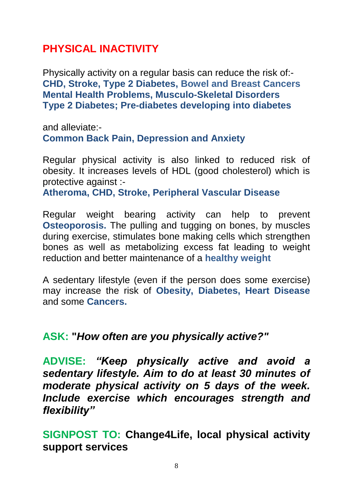### **PHYSICAL INACTIVITY**

Physically activity on a regular basis can reduce the risk of:- **CHD, Stroke, Type 2 Diabetes, Bowel and Breast Cancers Mental Health Problems, Musculo-Skeletal Disorders Type 2 Diabetes; Pre-diabetes developing into diabetes**

and alleviate:- **Common Back Pain, Depression and Anxiety**

Regular physical activity is also linked to reduced risk of obesity. It increases levels of HDL (good cholesterol) which is protective against :-

**Atheroma, CHD, Stroke, Peripheral Vascular Disease**

Regular weight bearing activity can help to prevent **Osteoporosis.** The pulling and tugging on bones, by muscles during exercise, stimulates bone making cells which strengthen bones as well as metabolizing excess fat leading to weight reduction and better maintenance of a **healthy weight**

A sedentary lifestyle (even if the person does some exercise) may increase the risk of **Obesity, Diabetes, Heart Disease** and some **Cancers.**

#### **ASK: "***How often are you physically active?"*

**ADVISE:** *"Keep physically active and avoid a sedentary lifestyle. Aim to do at least 30 minutes of moderate physical activity on 5 days of the week. Include exercise which encourages strength and flexibility"*

**SIGNPOST TO: Change4Life, local physical activity support services**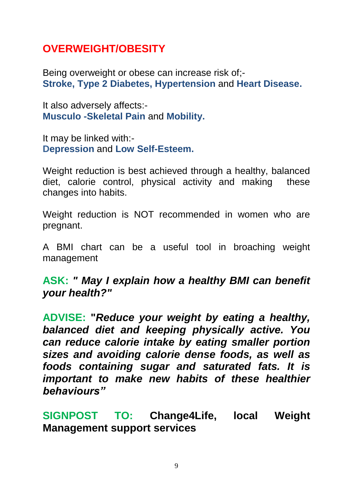## **OVERWEIGHT/OBESITY**

Being overweight or obese can increase risk of;- **Stroke, Type 2 Diabetes, Hypertension** and **Heart Disease.**

It also adversely affects:- **Musculo -Skeletal Pain** and **Mobility.** 

It may be linked with:- **Depression** and **Low Self-Esteem.**

Weight reduction is best achieved through a healthy, balanced diet, calorie control, physical activity and making these changes into habits.

Weight reduction is NOT recommended in women who are pregnant.

A BMI chart can be a useful tool in broaching weight management

**ASK:** *" May I explain how a healthy BMI can benefit your health?"*

**ADVISE: "***Reduce your weight by eating a healthy, balanced diet and keeping physically active. You can reduce calorie intake by eating smaller portion sizes and avoiding calorie dense foods, as well as foods containing sugar and saturated fats. It is important to make new habits of these healthier behaviours"*

**SIGNPOST TO: Change4Life, local Weight Management support services**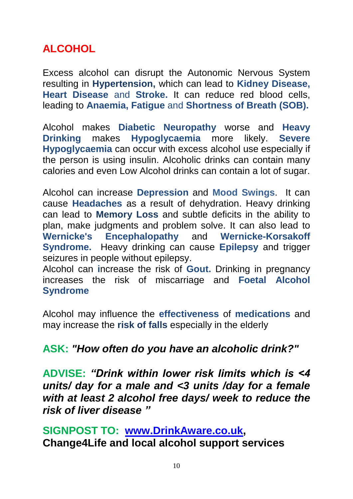## **ALCOHOL**

Excess alcohol can disrupt the Autonomic Nervous System resulting in **Hypertension,** which can lead to **Kidney Disease, Heart Disease** and **Stroke.** It can reduce red blood cells, leading to **Anaemia, Fatigue** and **Shortness of Breath (SOB).**

Alcohol makes **Diabetic Neuropathy** worse and **Heavy Drinking** makes **Hypoglycaemia** more likely. **Severe Hypoglycaemia** can occur with excess alcohol use especially if the person is using insulin. Alcoholic drinks can contain many calories and even Low Alcohol drinks can contain a lot of sugar.

Alcohol can increase **Depression** and **Mood Swings**. It can cause **Headaches** as a result of dehydration. Heavy drinking can lead to **Memory Loss** and subtle deficits in the ability to plan, make judgments and problem solve. It can also lead to **Wernicke's Encephalopathy** and **Wernicke-Korsakoff Syndrome.** Heavy drinking can cause **Epilepsy** and trigger seizures in people without epilepsy.

Alcohol can **i**ncrease the risk of **Gout.** Drinking in pregnancy increases the risk of miscarriage and **Foetal Alcohol Syndrome**

Alcohol may influence the **effectiveness** of **medications** and may increase the **risk of falls** especially in the elderly

#### **ASK:** *"How often do you have an alcoholic drink?"*

**ADVISE:** *"Drink within lower risk limits which is <4 units/ day for a male and <3 units /day for a female with at least 2 alcohol free days/ week to reduce the risk of liver disease "*

**SIGNPOST TO: [www.DrinkAware.co.uk,](http://www.drinkaware.co.uk/) Change4Life and local alcohol support services**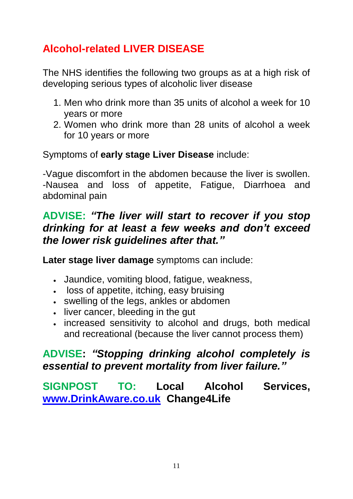# **Alcohol-related LIVER DISEASE**

The NHS identifies the following two groups as at a high risk of developing serious types of alcoholic liver disease

- 1. Men who drink more than 35 units of alcohol a week for 10 years or more
- 2. Women who drink more than 28 units of alcohol a week for 10 years or more

Symptoms of **early stage Liver Disease** include:

-Vague discomfort in the abdomen because the liver is swollen. -Nausea and loss of appetite, Fatigue, Diarrhoea and abdominal pain

### **ADVISE:** *"The liver will start to recover if you stop drinking for at least a few weeks and don't exceed the [lower risk guidelines](http://www.drinkaware.co.uk/check-the-facts/what-is-alcohol/alcohol-unit-guidelines/) after that."*

**Later stage liver damage** symptoms can include:

- Jaundice, vomiting blood, fatigue, weakness,
- loss of appetite, itching, easy bruising
- swelling of the legs, ankles or abdomen
- liver cancer, bleeding in the gut
- increased sensitivity to alcohol and drugs, both medical and recreational (because the liver cannot process them)

### **ADVISE:** *"Stopping drinking alcohol completely is essential to prevent mortality from liver failure."*

**SIGNPOST TO: Local Alcohol Services, [www.DrinkAware.co.uk](http://www.drinkaware.co.uk/) Change4Life**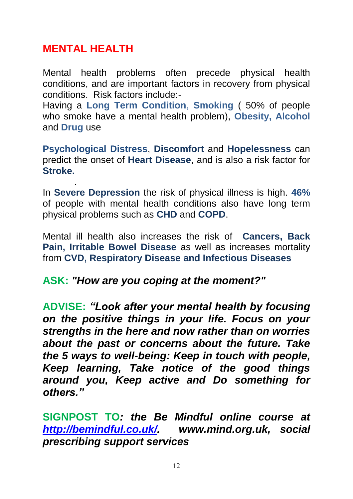### **MENTAL HEALTH**

.

Mental health problems often precede physical health conditions, and are important factors in recovery from physical conditions. Risk factors include:-

Having a **Long Term Condition**, **Smoking** ( 50% of people who smoke have a mental health problem), **Obesity, Alcohol** and **Drug** use

**Psychological Distress**, **Discomfort** and **Hopelessness** can predict the onset of **Heart Disease**, and is also a risk factor for **Stroke.** 

In **Severe Depression** the risk of physical illness is high. **46%**  of people with mental health conditions also have long term physical problems such as **CHD** and **COPD**.

Mental ill health also increases the risk of **Cancers, Back Pain, Irritable Bowel Disease** as well as increases mortality from **CVD, Respiratory Disease and Infectious Diseases**

#### **ASK:** *"How are you coping at the moment?"*

**ADVISE:** *"Look after your mental health by focusing on the positive things in your life. Focus on your strengths in the here and now rather than on worries about the past or concerns about the future. Take the 5 ways to well-being: Keep in touch with people, Keep learning, Take notice of the good things around you, Keep active and Do something for others."*

**SIGNPOST TO***: the Be Mindful online course at [http://bemindful.co.uk/.](http://bemindful.co.uk/) www.mind.org.uk, social prescribing support services*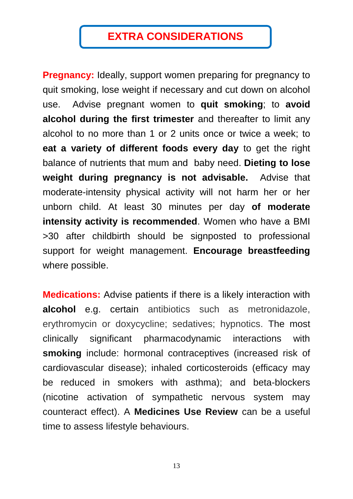# **EXTRA CONSIDERATIONS**

**Pregnancy:** Ideally, support women preparing for pregnancy to quit smoking, lose weight if necessary and cut down on alcohol use. Advise pregnant women to **quit smoking**; to **avoid alcohol during the first trimester** and thereafter to limit any alcohol to no more than 1 or 2 units once or twice a week; to **eat a variety of different foods every day** to get the right balance of nutrients that mum and baby need. **Dieting to lose weight during pregnancy is not advisable.** Advise that moderate-intensity physical activity will not harm her or her unborn child. At least 30 minutes per day **of moderate intensity activity is recommended**. Women who have a BMI >30 after childbirth should be signposted to professional support for weight management. **Encourage breastfeeding** where possible.

**Medications:** Advise patients if there is a likely interaction with **alcohol** e.g. certain antibiotics such as metronidazole, erythromycin or doxycycline; sedatives; hypnotics. The most clinically significant pharmacodynamic interactions with **smoking** include: hormonal contraceptives (increased risk of cardiovascular disease); inhaled corticosteroids (efficacy may be reduced in smokers with asthma); and beta-blockers (nicotine activation of sympathetic nervous system may counteract effect). A **Medicines Use Review** can be a useful time to assess lifestyle behaviours.

13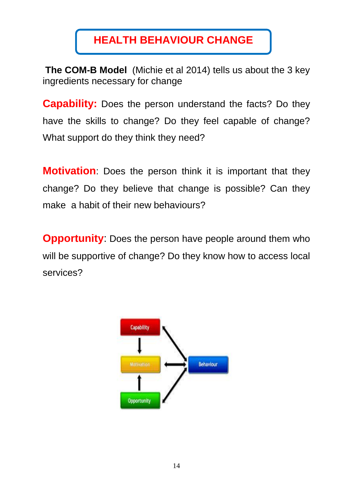# **HEALTH BEHAVIOUR CHANGE**

**The COM-B Model** (Michie et al 2014) tells us about the 3 key ingredients necessary for change

**Capability:** Does the person understand the facts? Do they have the skills to change? Do they feel capable of change? What support do they think they need?

**Motivation**: Does the person think it is important that they change? Do they believe that change is possible? Can they make a habit of their new behaviours?

**Opportunity:** Does the person have people around them who will be supportive of change? Do they know how to access local services?

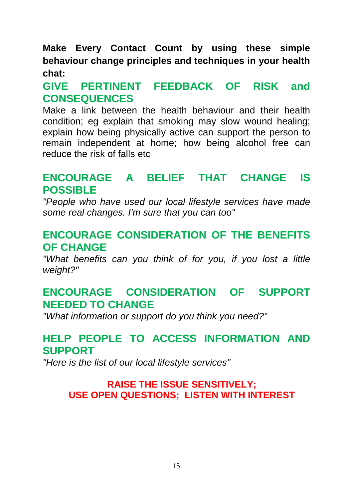**Make Every Contact Count by using these simple behaviour change principles and techniques in your health chat:**

### **GIVE PERTINENT FEEDBACK OF RISK and CONSEQUENCES**

Make a link between the health behaviour and their health condition; eg explain that smoking may slow wound healing; explain how being physically active can support the person to remain independent at home; how being alcohol free can reduce the risk of falls etc

#### **ENCOURAGE A BELIEF THAT CHANGE IS POSSIBLE**

*"People who have used our local lifestyle services have made some real changes. I'm sure that you can too"*

#### **ENCOURAGE CONSIDERATION OF THE BENEFITS OF CHANGE**

*"What benefits can you think of for you, if you lost a little weight?"*

### **ENCOURAGE CONSIDERATION OF SUPPORT NEEDED TO CHANGE**

*"What information or support do you think you need?"*

### **HELP PEOPLE TO ACCESS INFORMATION AND SUPPORT**

*"Here is the list of our local lifestyle services"*

#### **RAISE THE ISSUE SENSITIVELY; USE OPEN QUESTIONS; LISTEN WITH INTEREST**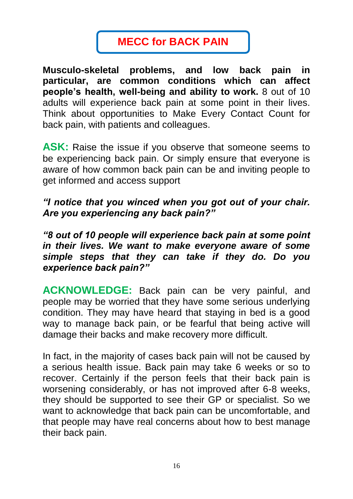# **MECC for BACK PAIN**

**Musculo-skeletal problems, and low back pain in particular, are common conditions which can affect people's health, well-being and ability to work.** 8 out of 10 adults will experience back pain at some point in their lives. Think about opportunities to Make Every Contact Count for back pain, with patients and colleagues.

**ASK:** Raise the issue if you observe that someone seems to be experiencing back pain. Or simply ensure that everyone is aware of how common back pain can be and inviting people to get informed and access support

#### *"I notice that you winced when you got out of your chair. Are you experiencing any back pain?"*

*"8 out of 10 people will experience back pain at some point in their lives. We want to make everyone aware of some simple steps that they can take if they do. Do you experience back pain?"*

**ACKNOWLEDGE:** Back pain can be very painful, and people may be worried that they have some serious underlying condition. They may have heard that staying in bed is a good way to manage back pain, or be fearful that being active will damage their backs and make recovery more difficult.

In fact, in the majority of cases back pain will not be caused by a serious health issue. Back pain may take 6 weeks or so to recover. Certainly if the person feels that their back pain is worsening considerably, or has not improved after 6-8 weeks, they should be supported to see their GP or specialist. So we want to acknowledge that back pain can be uncomfortable, and that people may have real concerns about how to best manage their back pain.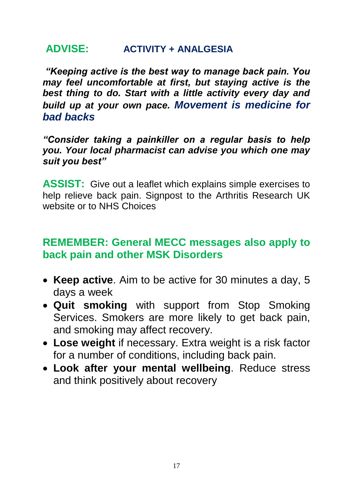#### **ADVISE: ACTIVITY + ANALGESIA**

*"Keeping active is the best way to manage back pain. You may feel uncomfortable at first, but staying active is the best thing to do. Start with a little activity every day and build up at your own pace. Movement is medicine for bad backs*

*"Consider taking a painkiller on a regular basis to help you. Your local pharmacist can advise you which one may suit you best"*

**ASSIST:** Give out a leaflet which explains simple exercises to help relieve back pain. Signpost to the Arthritis Research UK website or to NHS Choices

### **REMEMBER: General MECC messages also apply to back pain and other MSK Disorders**

- **Keep active**. Aim to be active for 30 minutes a day, 5 days a week
- **Quit smoking** with support from Stop Smoking Services. Smokers are more likely to get back pain, and smoking may affect recovery.
- **Lose weight** if necessary. Extra weight is a risk factor for a number of conditions, including back pain.
- **Look after your mental wellbeing**. Reduce stress and think positively about recovery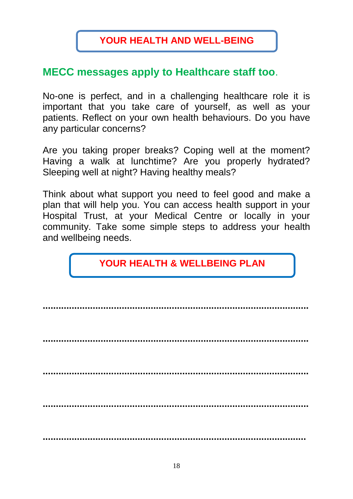#### **MECC messages apply to Healthcare staff too**.

No-one is perfect, and in a challenging healthcare role it is important that you take care of yourself, as well as your patients. Reflect on your own health behaviours. Do you have any particular concerns?

Are you taking proper breaks? Coping well at the moment? Having a walk at lunchtime? Are you properly hydrated? Sleeping well at night? Having healthy meals?

Think about what support you need to feel good and make a plan that will help you. You can access health support in your Hospital Trust, at your Medical Centre or locally in your community. Take some simple steps to address your health and wellbeing needs.

### **YOUR HEALTH & WELLBEING PLAN**

**..................................................................................................... ..................................................................................................... ..................................................................................................... ..................................................................................................... ....................................................................................................**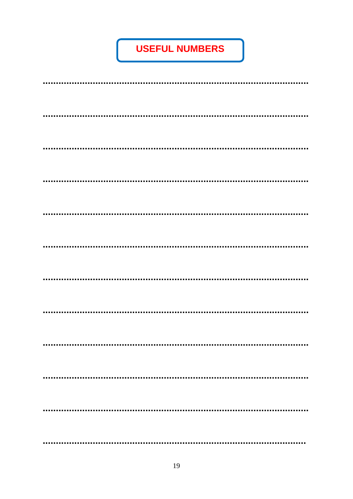# **USEFUL NUMBERS**